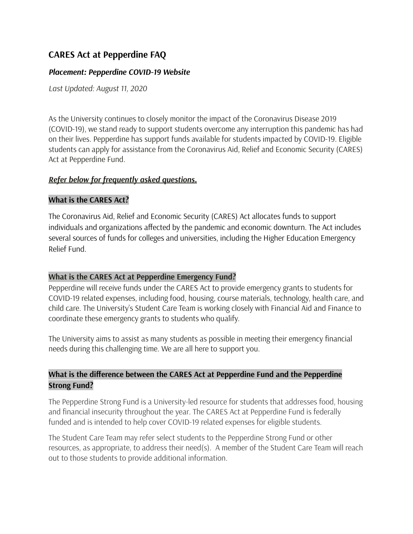# **CARES Act at Pepperdine FAQ**

### *Placement: Pepperdine COVID-19 Website*

*Last Updated: August 11, 2020*

As the University continues to closely monitor the impact of the Coronavirus Disease 2019 (COVID-19), we stand ready to support students overcome any interruption this pandemic has had on their lives. Pepperdine has support funds available for students impacted by COVID-19. Eligible students can apply for assistance from the Coronavirus Aid, Relief and Economic Security (CARES) Act at Pepperdine Fund.

### *Refer below for frequently asked questions.*

#### **What is the CARES Act?**

The Coronavirus Aid, Relief and Economic Security (CARES) Act allocates funds to support individuals and organizations affected by the pandemic and economic downturn. The Act includes several sources of funds for colleges and universities, including the Higher Education Emergency Relief Fund.

#### **What is the CARES Act at Pepperdine Emergency Fund?**

Pepperdine will receive funds under the CARES Act to provide emergency grants to students for COVID-19 related expenses, including food, housing, course materials, technology, health care, and child care. The University's Student Care Team is working closely with Financial Aid and Finance to coordinate these emergency grants to students who qualify.

The University aims to assist as many students as possible in meeting their emergency financial needs during this challenging time. We are all here to support you.

## **What is the difference between the CARES Act at Pepperdine Fund and the Pepperdine Strong Fund?**

The Pepperdine Strong Fund is a University-led resource for students that addresses food, housing and financial insecurity throughout the year. The CARES Act at Pepperdine Fund is federally funded and is intended to help cover COVID-19 related expenses for eligible students.

The Student Care Team may refer select students to the Pepperdine Strong Fund or other resources, as appropriate, to address their need(s). A member of the Student Care Team will reach out to those students to provide additional information.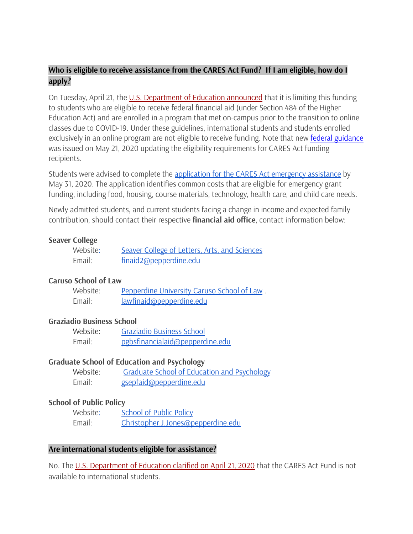## **Who is eligible to receive assistance from the CARES Act Fund? If I am eligible, how do I apply?**

On Tuesday, April 21, the U.S. [Department](https://www2.ed.gov/about/offices/list/ope/heerfstudentfaqs.pdf) of Education announced that it is limiting this funding to students who are eligible to receive federal financial aid (under Section 484 of the Higher Education Act) and are enrolled in a program that met on-campus prior to the transition to online classes due to COVID-19. Under these guidelines, international students and students enrolled exclusively in an online program are not eligible to receive funding. Note that new federal [guidance](https://www2.ed.gov/about/offices/list/ope/caresact.html) was issued on May 21, 2020 updating the eligibility requirements for CARES Act funding recipients.

Students were advised to complete the [application](https://docs.google.com/forms/d/e/1FAIpQLSd9MBFYwxyfv-s3YvDLFN8Tn3e2wP0G2gUtTJL4Yjm07B6s3A/viewform) for the CARES Act emergency assistance by May 31, 2020. The application identifies common costs that are eligible for emergency grant funding, including food, housing, course materials, technology, health care, and child care needs.

Newly admitted students, and current students facing a change in income and expected family contribution, should contact their respective **financial aid office**, contact information below:

#### **Seaver College**

| Website: | Seaver College of Letters, Arts, and Sciences |
|----------|-----------------------------------------------|
| Email:   | finaid2@pepperdine.edu                        |

#### **Caruso School of Law**

| Website: | Pepperdine University Caruso School of Law. |
|----------|---------------------------------------------|
| Email:   | lawfinaid@pepperdine.edu                    |

#### **Graziadio Business School**

| Website: | Graziadio Business School       |
|----------|---------------------------------|
| Email:   | pgbsfinancialaid@pepperdine.edu |

#### **Graduate School of Education and Psychology**

| Website: | Graduate School of Education and Psychology |
|----------|---------------------------------------------|
| Email:   | gsepfaid@pepperdine.edu                     |

#### **School of Public Policy**

| Website: | <b>School of Public Policy</b>     |
|----------|------------------------------------|
| Email:   | Christopher.J.Jones@pepperdine.edu |

#### **Are international students eligible for assistance?**

No. The U.S. [Department](https://www2.ed.gov/about/offices/list/ope/heerfstudentfaqs.pdf) of Education clarified on April 21, 2020 that the CARES Act Fund is not available to international students.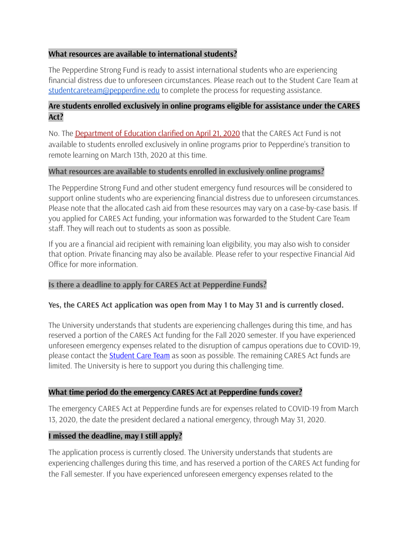### **What resources are available to international students?**

The Pepperdine Strong Fund is ready to assist international students who are experiencing financial distress due to unforeseen circumstances. Please reach out to the Student Care Team at [studentcareteam@pepperdine.edu](mailto:studentcareteam@pepperdine.du) to complete the process for requesting assistance.

### **Are students enrolled exclusively in online programs eligible for assistance under the CARES Act?**

No. The [Department](https://www2.ed.gov/about/offices/list/ope/heerfstudentfaqs.pdf) of Education clarified on April 21, 2020 that the CARES Act Fund is not available to students enrolled exclusively in online programs prior to Pepperdine's transition to remote learning on March 13th, 2020 at this time.

### **What resources are available to students enrolled in exclusively online programs?**

The Pepperdine Strong Fund and other student emergency fund resources will be considered to support online students who are experiencing financial distress due to unforeseen circumstances. Please note that the allocated cash aid from these resources may vary on a case-by-case basis. If you applied for CARES Act funding, your information was forwarded to the Student Care Team staff. They will reach out to students as soon as possible.

If you are a financial aid recipient with remaining loan eligibility, you may also wish to consider that option. Private financing may also be available. Please refer to your respective Financial Aid Office for more information.

### **Is there a deadline to apply for CARES Act at Pepperdine Funds?**

### **Yes, the CARES Act application was open from May 1 to May 31 and is currently closed.**

The University understands that students are experiencing challenges during this time, and has reserved a portion of the CARES Act funding for the Fall 2020 semester. If you have experienced unforeseen emergency expenses related to the disruption of campus operations due to COVID-19, please contact the **[Student](mailto:studentcareteam@pepperdine.edu) Care Team** as soon as possible. The remaining CARES Act funds are limited. The University is here to support you during this challenging time.

### **What time period do the emergency CARES Act at Pepperdine funds cover?**

The emergency CARES Act at Pepperdine funds are for expenses related to COVID-19 from March 13, 2020, the date the president declared a national emergency, through May 31, 2020.

### **I missed the deadline, may I still apply?**

The application process is currently closed. The University understands that students are experiencing challenges during this time, and has reserved a portion of the CARES Act funding for the Fall semester. If you have experienced unforeseen emergency expenses related to the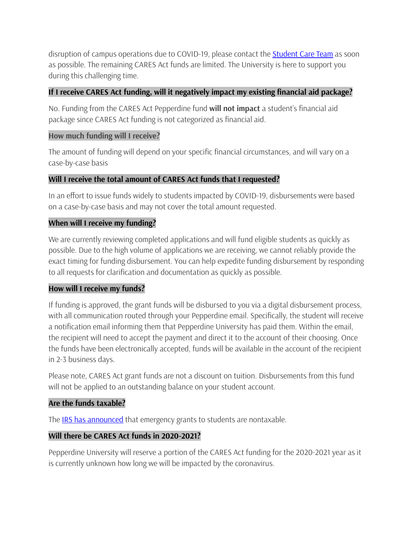disruption of campus operations due to COVID-19, please contact the **[Student](mailto:studentcareteam@pepperdine.edu) Care Team** as soon as possible. The remaining CARES Act funds are limited. The University is here to support you during this challenging time.

## **If I receive CARES Act funding, will it negatively impact my existing financial aid package?**

No. Funding from the CARES Act Pepperdine fund **will not impact** a student's financial aid package since CARES Act funding is not categorized as financial aid.

### **How much funding will I receive?**

The amount of funding will depend on your specific financial circumstances, and will vary on a case-by-case basis

## **Will I receive the total amount of CARES Act funds that I requested?**

In an effort to issue funds widely to students impacted by COVID-19, disbursements were based on a case-by-case basis and may not cover the total amount requested.

## **When will I receive my funding?**

We are currently reviewing completed applications and will fund eligible students as quickly as possible. Due to the high volume of applications we are receiving, we cannot reliably provide the exact timing for funding disbursement. You can help expedite funding disbursement by responding to all requests for clarification and documentation as quickly as possible.

## **How will I receive my funds?**

If funding is approved, the grant funds will be disbursed to you via a digital disbursement process, with all communication routed through your Pepperdine email. Specifically, the student will receive a notification email informing them that Pepperdine University has paid them. Within the email, the recipient will need to accept the payment and direct it to the account of their choosing. Once the funds have been electronically accepted, funds will be available in the account of the recipient in 2-3 business days.

Please note, CARES Act grant funds are not a discount on tuition. Disbursements from this fund will not be applied to an outstanding balance on your student account.

## **Are the funds taxable?**

The **IRS has [announced](https://www.irs.gov/newsroom/faqs-higher-education-emergency-relief-fund-and-emergency-financial-aid-grants-under-the-cares-act)** that emergency grants to students are nontaxable.

## **Will there be CARES Act funds in 2020-2021?**

Pepperdine University will reserve a portion of the CARES Act funding for the 2020-2021 year as it is currently unknown how long we will be impacted by the coronavirus.